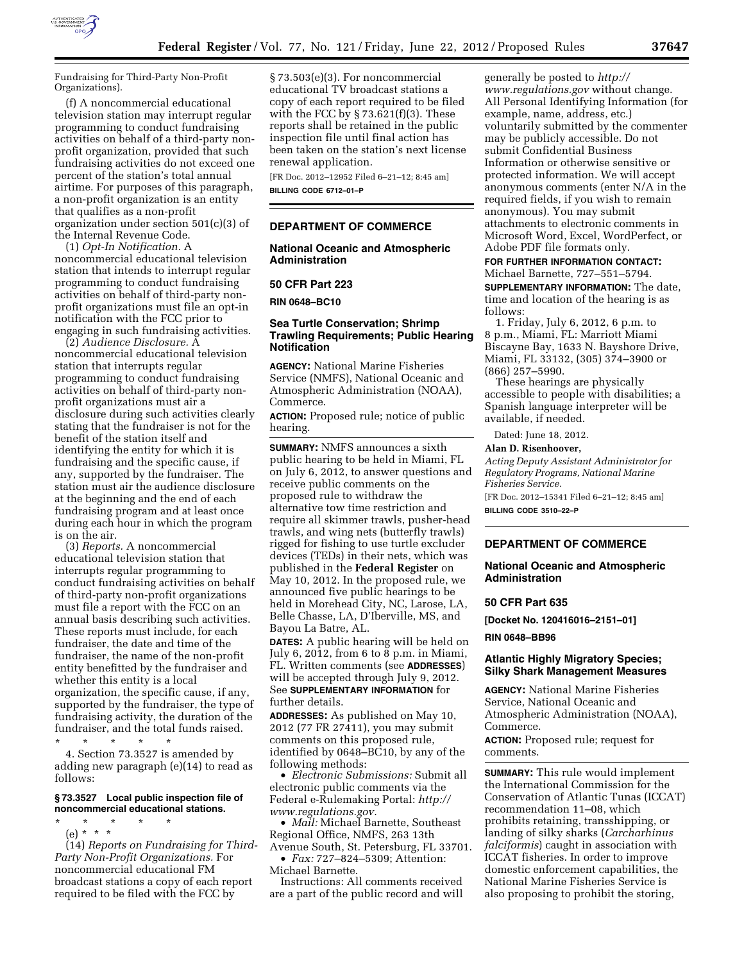

Fundraising for Third-Party Non-Profit Organizations).

(f) A noncommercial educational television station may interrupt regular programming to conduct fundraising activities on behalf of a third-party nonprofit organization, provided that such fundraising activities do not exceed one percent of the station's total annual airtime. For purposes of this paragraph, a non-profit organization is an entity that qualifies as a non-profit organization under section 501(c)(3) of the Internal Revenue Code.

(1) *Opt-In Notification.* A noncommercial educational television station that intends to interrupt regular programming to conduct fundraising activities on behalf of third-party nonprofit organizations must file an opt-in notification with the FCC prior to engaging in such fundraising activities.

(2) *Audience Disclosure.* A noncommercial educational television station that interrupts regular programming to conduct fundraising activities on behalf of third-party nonprofit organizations must air a disclosure during such activities clearly stating that the fundraiser is not for the benefit of the station itself and identifying the entity for which it is fundraising and the specific cause, if any, supported by the fundraiser. The station must air the audience disclosure at the beginning and the end of each fundraising program and at least once during each hour in which the program is on the air.

(3) *Reports.* A noncommercial educational television station that interrupts regular programming to conduct fundraising activities on behalf of third-party non-profit organizations must file a report with the FCC on an annual basis describing such activities. These reports must include, for each fundraiser, the date and time of the fundraiser, the name of the non-profit entity benefitted by the fundraiser and whether this entity is a local organization, the specific cause, if any, supported by the fundraiser, the type of fundraising activity, the duration of the fundraiser, and the total funds raised.

\* \* \* \* \* 4. Section 73.3527 is amended by adding new paragraph (e)(14) to read as follows:

# **§ 73.3527 Local public inspection file of noncommercial educational stations.**

\* \* \* \* \*

(e) \* \* \* (14) *Reports on Fundraising for Third-Party Non-Profit Organizations.* For noncommercial educational FM broadcast stations a copy of each report required to be filed with the FCC by

§ 73.503(e)(3). For noncommercial educational TV broadcast stations a copy of each report required to be filed with the FCC by  $\S 73.621(f)(3)$ . These reports shall be retained in the public inspection file until final action has been taken on the station's next license renewal application.

[FR Doc. 2012–12952 Filed 6–21–12; 8:45 am] **BILLING CODE 6712–01–P** 

## **DEPARTMENT OF COMMERCE**

**National Oceanic and Atmospheric Administration** 

#### **50 CFR Part 223**

**RIN 0648–BC10** 

# **Sea Turtle Conservation; Shrimp Trawling Requirements; Public Hearing Notification**

**AGENCY:** National Marine Fisheries Service (NMFS), National Oceanic and Atmospheric Administration (NOAA), Commerce.

**ACTION:** Proposed rule; notice of public hearing.

**SUMMARY:** NMFS announces a sixth public hearing to be held in Miami, FL on July 6, 2012, to answer questions and receive public comments on the proposed rule to withdraw the alternative tow time restriction and require all skimmer trawls, pusher-head trawls, and wing nets (butterfly trawls) rigged for fishing to use turtle excluder devices (TEDs) in their nets, which was published in the **Federal Register** on May 10, 2012. In the proposed rule, we announced five public hearings to be held in Morehead City, NC, Larose, LA, Belle Chasse, LA, D'Iberville, MS, and Bayou La Batre, AL.

**DATES:** A public hearing will be held on July 6, 2012, from 6 to 8 p.m. in Miami, FL. Written comments (see **ADDRESSES**) will be accepted through July 9, 2012. See **SUPPLEMENTARY INFORMATION** for further details.

**ADDRESSES:** As published on May 10, 2012 (77 FR 27411), you may submit comments on this proposed rule, identified by 0648–BC10, by any of the following methods:

• *Electronic Submissions:* Submit all electronic public comments via the Federal e-Rulemaking Portal: *[http://](http://www.regulations.gov)  [www.regulations.gov.](http://www.regulations.gov)* 

• *Mail:* Michael Barnette, Southeast Regional Office, NMFS, 263 13th Avenue South, St. Petersburg, FL 33701.

• *Fax:* 727–824–5309; Attention: Michael Barnette.

Instructions: All comments received are a part of the public record and will

generally be posted to *[http://](http://www.regulations.gov) [www.regulations.gov](http://www.regulations.gov)* without change. All Personal Identifying Information (for example, name, address, etc.) voluntarily submitted by the commenter may be publicly accessible. Do not submit Confidential Business Information or otherwise sensitive or protected information. We will accept anonymous comments (enter N/A in the required fields, if you wish to remain anonymous). You may submit attachments to electronic comments in Microsoft Word, Excel, WordPerfect, or Adobe PDF file formats only.

# **FOR FURTHER INFORMATION CONTACT:**

Michael Barnette, 727–551–5794. **SUPPLEMENTARY INFORMATION:** The date, time and location of the hearing is as

follows:

1. Friday, July 6, 2012, 6 p.m. to 8 p.m., Miami, FL: Marriott Miami Biscayne Bay, 1633 N. Bayshore Drive, Miami, FL 33132, (305) 374–3900 or (866) 257–5990.

These hearings are physically accessible to people with disabilities; a Spanish language interpreter will be available, if needed.

Dated: June 18, 2012.

#### **Alan D. Risenhoover,**

*Acting Deputy Assistant Administrator for Regulatory Programs, National Marine Fisheries Service.* 

[FR Doc. 2012–15341 Filed 6–21–12; 8:45 am]

**BILLING CODE 3510–22–P** 

#### **DEPARTMENT OF COMMERCE**

**National Oceanic and Atmospheric Administration** 

## **50 CFR Part 635**

**[Docket No. 120416016–2151–01]** 

**RIN 0648–BB96** 

### **Atlantic Highly Migratory Species; Silky Shark Management Measures**

**AGENCY:** National Marine Fisheries Service, National Oceanic and Atmospheric Administration (NOAA), Commerce.

**ACTION:** Proposed rule; request for comments.

**SUMMARY:** This rule would implement the International Commission for the Conservation of Atlantic Tunas (ICCAT) recommendation 11–08, which prohibits retaining, transshipping, or landing of silky sharks (*Carcharhinus falciformis*) caught in association with ICCAT fisheries. In order to improve domestic enforcement capabilities, the National Marine Fisheries Service is also proposing to prohibit the storing,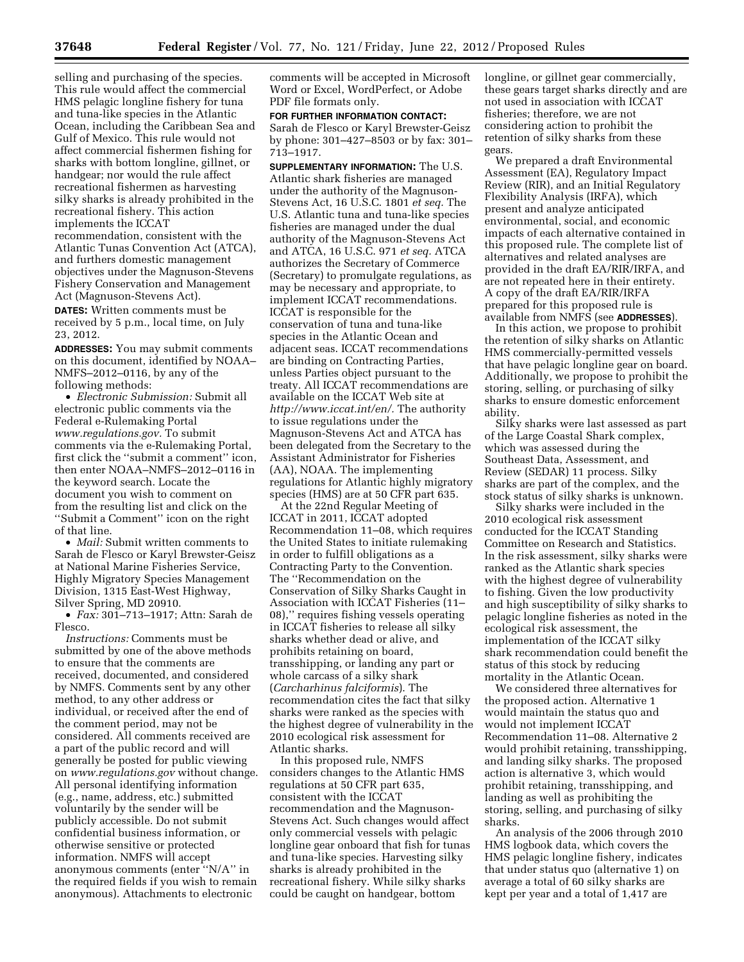selling and purchasing of the species. This rule would affect the commercial HMS pelagic longline fishery for tuna and tuna-like species in the Atlantic Ocean, including the Caribbean Sea and Gulf of Mexico. This rule would not affect commercial fishermen fishing for sharks with bottom longline, gillnet, or handgear; nor would the rule affect recreational fishermen as harvesting silky sharks is already prohibited in the recreational fishery. This action implements the ICCAT

recommendation, consistent with the Atlantic Tunas Convention Act (ATCA), and furthers domestic management objectives under the Magnuson-Stevens Fishery Conservation and Management Act (Magnuson-Stevens Act).

**DATES:** Written comments must be received by 5 p.m., local time, on July 23, 2012.

**ADDRESSES:** You may submit comments on this document, identified by NOAA– NMFS–2012–0116, by any of the following methods:

• *Electronic Submission:* Submit all electronic public comments via the Federal e-Rulemaking Portal *[www.regulations.gov.](http://www.regulations.gov)* To submit comments via the e-Rulemaking Portal, first click the ''submit a comment'' icon, then enter NOAA–NMFS–2012–0116 in the keyword search. Locate the document you wish to comment on from the resulting list and click on the ''Submit a Comment'' icon on the right of that line.

• *Mail:* Submit written comments to Sarah de Flesco or Karyl Brewster-Geisz at National Marine Fisheries Service, Highly Migratory Species Management Division, 1315 East-West Highway, Silver Spring, MD 20910.

• *Fax:* 301–713–1917; Attn: Sarah de Flesco.

*Instructions:* Comments must be submitted by one of the above methods to ensure that the comments are received, documented, and considered by NMFS. Comments sent by any other method, to any other address or individual, or received after the end of the comment period, may not be considered. All comments received are a part of the public record and will generally be posted for public viewing on *[www.regulations.gov](http://www.regulations.gov)* without change. All personal identifying information (e.g., name, address, etc.) submitted voluntarily by the sender will be publicly accessible. Do not submit confidential business information, or otherwise sensitive or protected information. NMFS will accept anonymous comments (enter ''N/A'' in the required fields if you wish to remain anonymous). Attachments to electronic

comments will be accepted in Microsoft Word or Excel, WordPerfect, or Adobe PDF file formats only.

### **FOR FURTHER INFORMATION CONTACT:**

Sarah de Flesco or Karyl Brewster-Geisz by phone: 301–427–8503 or by fax: 301– 713–1917.

**SUPPLEMENTARY INFORMATION:** The U.S. Atlantic shark fisheries are managed under the authority of the Magnuson-Stevens Act, 16 U.S.C. 1801 *et seq.* The U.S. Atlantic tuna and tuna-like species fisheries are managed under the dual authority of the Magnuson-Stevens Act and ATCA, 16 U.S.C. 971 *et seq.* ATCA authorizes the Secretary of Commerce (Secretary) to promulgate regulations, as may be necessary and appropriate, to implement ICCAT recommendations. ICCAT is responsible for the conservation of tuna and tuna-like species in the Atlantic Ocean and adjacent seas. ICCAT recommendations are binding on Contracting Parties, unless Parties object pursuant to the treaty. All ICCAT recommendations are available on the ICCAT Web site at *[http://www.iccat.int/en/.](http://www.iccat.int/en/)* The authority to issue regulations under the Magnuson-Stevens Act and ATCA has been delegated from the Secretary to the Assistant Administrator for Fisheries (AA), NOAA. The implementing regulations for Atlantic highly migratory species (HMS) are at 50 CFR part 635.

At the 22nd Regular Meeting of ICCAT in 2011, ICCAT adopted Recommendation 11–08, which requires the United States to initiate rulemaking in order to fulfill obligations as a Contracting Party to the Convention. The ''Recommendation on the Conservation of Silky Sharks Caught in Association with ICCAT Fisheries (11– 08),'' requires fishing vessels operating in ICCAT fisheries to release all silky sharks whether dead or alive, and prohibits retaining on board, transshipping, or landing any part or whole carcass of a silky shark (*Carcharhinus falciformis*). The recommendation cites the fact that silky sharks were ranked as the species with the highest degree of vulnerability in the 2010 ecological risk assessment for Atlantic sharks.

In this proposed rule, NMFS considers changes to the Atlantic HMS regulations at 50 CFR part 635, consistent with the ICCAT recommendation and the Magnuson-Stevens Act. Such changes would affect only commercial vessels with pelagic longline gear onboard that fish for tunas and tuna-like species. Harvesting silky sharks is already prohibited in the recreational fishery. While silky sharks could be caught on handgear, bottom

longline, or gillnet gear commercially, these gears target sharks directly and are not used in association with ICCAT fisheries; therefore, we are not considering action to prohibit the retention of silky sharks from these gears.

We prepared a draft Environmental Assessment (EA), Regulatory Impact Review (RIR), and an Initial Regulatory Flexibility Analysis (IRFA), which present and analyze anticipated environmental, social, and economic impacts of each alternative contained in this proposed rule. The complete list of alternatives and related analyses are provided in the draft EA/RIR/IRFA, and are not repeated here in their entirety. A copy of the draft EA/RIR/IRFA prepared for this proposed rule is available from NMFS (see **ADDRESSES**).

In this action, we propose to prohibit the retention of silky sharks on Atlantic HMS commercially-permitted vessels that have pelagic longline gear on board. Additionally, we propose to prohibit the storing, selling, or purchasing of silky sharks to ensure domestic enforcement ability.

Silky sharks were last assessed as part of the Large Coastal Shark complex, which was assessed during the Southeast Data, Assessment, and Review (SEDAR) 11 process. Silky sharks are part of the complex, and the stock status of silky sharks is unknown.

Silky sharks were included in the 2010 ecological risk assessment conducted for the ICCAT Standing Committee on Research and Statistics. In the risk assessment, silky sharks were ranked as the Atlantic shark species with the highest degree of vulnerability to fishing. Given the low productivity and high susceptibility of silky sharks to pelagic longline fisheries as noted in the ecological risk assessment, the implementation of the ICCAT silky shark recommendation could benefit the status of this stock by reducing mortality in the Atlantic Ocean.

We considered three alternatives for the proposed action. Alternative 1 would maintain the status quo and would not implement ICCAT Recommendation 11–08. Alternative 2 would prohibit retaining, transshipping, and landing silky sharks. The proposed action is alternative 3, which would prohibit retaining, transshipping, and landing as well as prohibiting the storing, selling, and purchasing of silky sharks.

An analysis of the 2006 through 2010 HMS logbook data, which covers the HMS pelagic longline fishery, indicates that under status quo (alternative 1) on average a total of 60 silky sharks are kept per year and a total of 1,417 are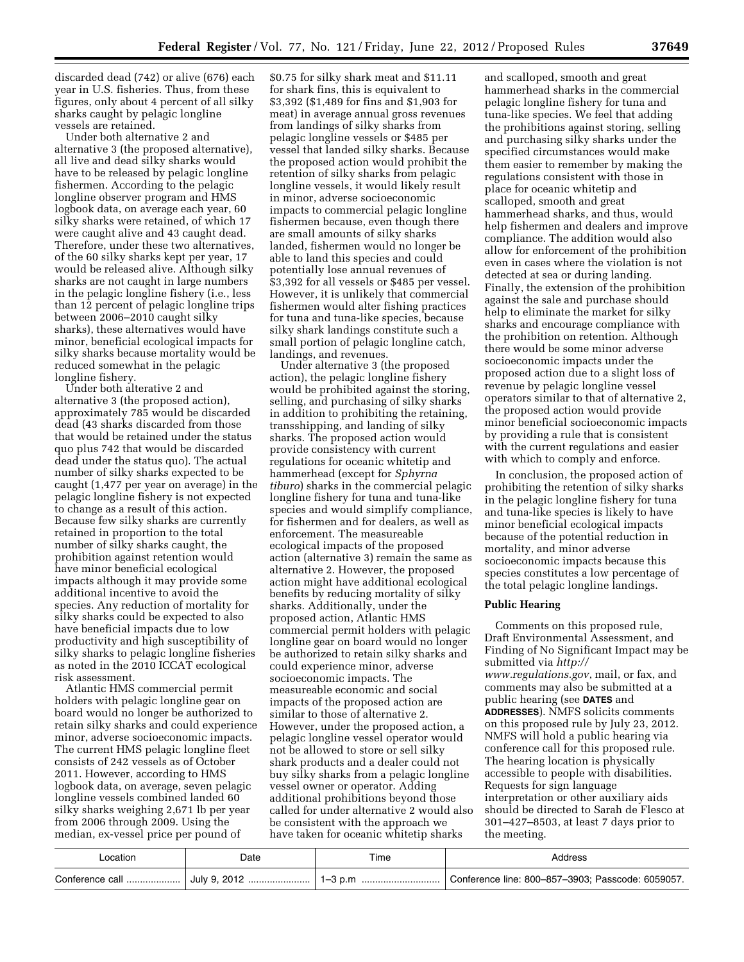discarded dead (742) or alive (676) each year in U.S. fisheries. Thus, from these figures, only about 4 percent of all silky sharks caught by pelagic longline vessels are retained.

Under both alternative 2 and alternative 3 (the proposed alternative), all live and dead silky sharks would have to be released by pelagic longline fishermen. According to the pelagic longline observer program and HMS logbook data, on average each year, 60 silky sharks were retained, of which 17 were caught alive and 43 caught dead. Therefore, under these two alternatives, of the 60 silky sharks kept per year, 17 would be released alive. Although silky sharks are not caught in large numbers in the pelagic longline fishery (i.e., less than 12 percent of pelagic longline trips between 2006–2010 caught silky sharks), these alternatives would have minor, beneficial ecological impacts for silky sharks because mortality would be reduced somewhat in the pelagic longline fishery.

Under both alterative 2 and alternative 3 (the proposed action), approximately 785 would be discarded dead (43 sharks discarded from those that would be retained under the status quo plus 742 that would be discarded dead under the status quo). The actual number of silky sharks expected to be caught (1,477 per year on average) in the pelagic longline fishery is not expected to change as a result of this action. Because few silky sharks are currently retained in proportion to the total number of silky sharks caught, the prohibition against retention would have minor beneficial ecological impacts although it may provide some additional incentive to avoid the species. Any reduction of mortality for silky sharks could be expected to also have beneficial impacts due to low productivity and high susceptibility of silky sharks to pelagic longline fisheries as noted in the 2010 ICCAT ecological risk assessment.

Atlantic HMS commercial permit holders with pelagic longline gear on board would no longer be authorized to retain silky sharks and could experience minor, adverse socioeconomic impacts. The current HMS pelagic longline fleet consists of 242 vessels as of October 2011. However, according to HMS logbook data, on average, seven pelagic longline vessels combined landed 60 silky sharks weighing 2,671 lb per year from 2006 through 2009. Using the median, ex-vessel price per pound of

\$0.75 for silky shark meat and \$11.11 for shark fins, this is equivalent to \$3,392 (\$1,489 for fins and \$1,903 for meat) in average annual gross revenues from landings of silky sharks from pelagic longline vessels or \$485 per vessel that landed silky sharks. Because the proposed action would prohibit the retention of silky sharks from pelagic longline vessels, it would likely result in minor, adverse socioeconomic impacts to commercial pelagic longline fishermen because, even though there are small amounts of silky sharks landed, fishermen would no longer be able to land this species and could potentially lose annual revenues of \$3,392 for all vessels or \$485 per vessel. However, it is unlikely that commercial fishermen would alter fishing practices for tuna and tuna-like species, because silky shark landings constitute such a small portion of pelagic longline catch, landings, and revenues.

Under alternative 3 (the proposed action), the pelagic longline fishery would be prohibited against the storing, selling, and purchasing of silky sharks in addition to prohibiting the retaining, transshipping, and landing of silky sharks. The proposed action would provide consistency with current regulations for oceanic whitetip and hammerhead (except for *Sphyrna tiburo*) sharks in the commercial pelagic longline fishery for tuna and tuna-like species and would simplify compliance, for fishermen and for dealers, as well as enforcement. The measureable ecological impacts of the proposed action (alternative 3) remain the same as alternative 2. However, the proposed action might have additional ecological benefits by reducing mortality of silky sharks. Additionally, under the proposed action, Atlantic HMS commercial permit holders with pelagic longline gear on board would no longer be authorized to retain silky sharks and could experience minor, adverse socioeconomic impacts. The measureable economic and social impacts of the proposed action are similar to those of alternative 2. However, under the proposed action, a pelagic longline vessel operator would not be allowed to store or sell silky shark products and a dealer could not buy silky sharks from a pelagic longline vessel owner or operator. Adding additional prohibitions beyond those called for under alternative 2 would also be consistent with the approach we have taken for oceanic whitetip sharks

and scalloped, smooth and great hammerhead sharks in the commercial pelagic longline fishery for tuna and tuna-like species. We feel that adding the prohibitions against storing, selling and purchasing silky sharks under the specified circumstances would make them easier to remember by making the regulations consistent with those in place for oceanic whitetip and scalloped, smooth and great hammerhead sharks, and thus, would help fishermen and dealers and improve compliance. The addition would also allow for enforcement of the prohibition even in cases where the violation is not detected at sea or during landing. Finally, the extension of the prohibition against the sale and purchase should help to eliminate the market for silky sharks and encourage compliance with the prohibition on retention. Although there would be some minor adverse socioeconomic impacts under the proposed action due to a slight loss of revenue by pelagic longline vessel operators similar to that of alternative 2, the proposed action would provide minor beneficial socioeconomic impacts by providing a rule that is consistent with the current regulations and easier with which to comply and enforce.

In conclusion, the proposed action of prohibiting the retention of silky sharks in the pelagic longline fishery for tuna and tuna-like species is likely to have minor beneficial ecological impacts because of the potential reduction in mortality, and minor adverse socioeconomic impacts because this species constitutes a low percentage of the total pelagic longline landings.

## **Public Hearing**

Comments on this proposed rule, Draft Environmental Assessment, and Finding of No Significant Impact may be submitted via *[http://](http://www.regulations.gov) [www.regulations.gov](http://www.regulations.gov)*, mail, or fax, and comments may also be submitted at a public hearing (see **DATES** and **ADDRESSES**). NMFS solicits comments on this proposed rule by July 23, 2012. NMFS will hold a public hearing via conference call for this proposed rule. The hearing location is physically accessible to people with disabilities. Requests for sign language interpretation or other auxiliary aids should be directed to Sarah de Flesco at 301–427–8503, at least 7 days prior to the meeting.

| _ocation | Date | Time | Address                                           |
|----------|------|------|---------------------------------------------------|
|          |      |      | Conference line: 800-857-3903; Passcode: 6059057. |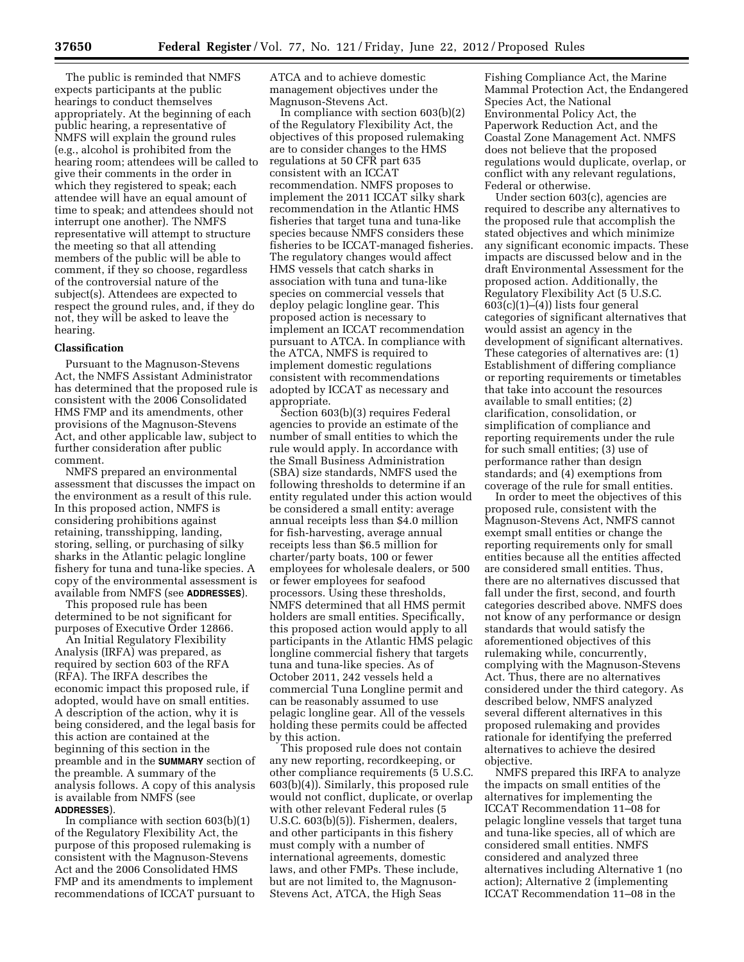The public is reminded that NMFS expects participants at the public hearings to conduct themselves appropriately. At the beginning of each public hearing, a representative of NMFS will explain the ground rules (e.g., alcohol is prohibited from the hearing room; attendees will be called to give their comments in the order in which they registered to speak; each attendee will have an equal amount of time to speak; and attendees should not interrupt one another). The NMFS representative will attempt to structure the meeting so that all attending members of the public will be able to comment, if they so choose, regardless of the controversial nature of the subject(s). Attendees are expected to respect the ground rules, and, if they do not, they will be asked to leave the hearing.

#### **Classification**

Pursuant to the Magnuson-Stevens Act, the NMFS Assistant Administrator has determined that the proposed rule is consistent with the 2006 Consolidated HMS FMP and its amendments, other provisions of the Magnuson-Stevens Act, and other applicable law, subject to further consideration after public comment.

NMFS prepared an environmental assessment that discusses the impact on the environment as a result of this rule. In this proposed action, NMFS is considering prohibitions against retaining, transshipping, landing, storing, selling, or purchasing of silky sharks in the Atlantic pelagic longline fishery for tuna and tuna-like species. A copy of the environmental assessment is available from NMFS (see **ADDRESSES**).

This proposed rule has been determined to be not significant for purposes of Executive Order 12866.

An Initial Regulatory Flexibility Analysis (IRFA) was prepared, as required by section 603 of the RFA (RFA). The IRFA describes the economic impact this proposed rule, if adopted, would have on small entities. A description of the action, why it is being considered, and the legal basis for this action are contained at the beginning of this section in the preamble and in the **SUMMARY** section of the preamble. A summary of the analysis follows. A copy of this analysis is available from NMFS (see **ADDRESSES**).

In compliance with section  $603(b)(1)$ of the Regulatory Flexibility Act, the purpose of this proposed rulemaking is consistent with the Magnuson-Stevens Act and the 2006 Consolidated HMS FMP and its amendments to implement recommendations of ICCAT pursuant to ATCA and to achieve domestic management objectives under the Magnuson-Stevens Act.

In compliance with section 603(b)(2) of the Regulatory Flexibility Act, the objectives of this proposed rulemaking are to consider changes to the HMS regulations at 50 CFR part 635 consistent with an ICCAT recommendation. NMFS proposes to implement the 2011 ICCAT silky shark recommendation in the Atlantic HMS fisheries that target tuna and tuna-like species because NMFS considers these fisheries to be ICCAT-managed fisheries. The regulatory changes would affect HMS vessels that catch sharks in association with tuna and tuna-like species on commercial vessels that deploy pelagic longline gear. This proposed action is necessary to implement an ICCAT recommendation pursuant to ATCA. In compliance with the ATCA, NMFS is required to implement domestic regulations consistent with recommendations adopted by ICCAT as necessary and appropriate.

Section 603(b)(3) requires Federal agencies to provide an estimate of the number of small entities to which the rule would apply. In accordance with the Small Business Administration (SBA) size standards, NMFS used the following thresholds to determine if an entity regulated under this action would be considered a small entity: average annual receipts less than \$4.0 million for fish-harvesting, average annual receipts less than \$6.5 million for charter/party boats, 100 or fewer employees for wholesale dealers, or 500 or fewer employees for seafood processors. Using these thresholds, NMFS determined that all HMS permit holders are small entities. Specifically, this proposed action would apply to all participants in the Atlantic HMS pelagic longline commercial fishery that targets tuna and tuna-like species. As of October 2011, 242 vessels held a commercial Tuna Longline permit and can be reasonably assumed to use pelagic longline gear. All of the vessels holding these permits could be affected by this action.

This proposed rule does not contain any new reporting, recordkeeping, or other compliance requirements (5 U.S.C. 603(b)(4)). Similarly, this proposed rule would not conflict, duplicate, or overlap with other relevant Federal rules (5 U.S.C. 603(b)(5)). Fishermen, dealers, and other participants in this fishery must comply with a number of international agreements, domestic laws, and other FMPs. These include, but are not limited to, the Magnuson-Stevens Act, ATCA, the High Seas

Fishing Compliance Act, the Marine Mammal Protection Act, the Endangered Species Act, the National Environmental Policy Act, the Paperwork Reduction Act, and the Coastal Zone Management Act. NMFS does not believe that the proposed regulations would duplicate, overlap, or conflict with any relevant regulations, Federal or otherwise.

Under section 603(c), agencies are required to describe any alternatives to the proposed rule that accomplish the stated objectives and which minimize any significant economic impacts. These impacts are discussed below and in the draft Environmental Assessment for the proposed action. Additionally, the Regulatory Flexibility Act (5 U.S.C.  $603(c)(1)–(4)$ ) lists four general categories of significant alternatives that would assist an agency in the development of significant alternatives. These categories of alternatives are: (1) Establishment of differing compliance or reporting requirements or timetables that take into account the resources available to small entities; (2) clarification, consolidation, or simplification of compliance and reporting requirements under the rule for such small entities; (3) use of performance rather than design standards; and (4) exemptions from coverage of the rule for small entities.

In order to meet the objectives of this proposed rule, consistent with the Magnuson-Stevens Act, NMFS cannot exempt small entities or change the reporting requirements only for small entities because all the entities affected are considered small entities. Thus, there are no alternatives discussed that fall under the first, second, and fourth categories described above. NMFS does not know of any performance or design standards that would satisfy the aforementioned objectives of this rulemaking while, concurrently, complying with the Magnuson-Stevens Act. Thus, there are no alternatives considered under the third category. As described below, NMFS analyzed several different alternatives in this proposed rulemaking and provides rationale for identifying the preferred alternatives to achieve the desired objective.

NMFS prepared this IRFA to analyze the impacts on small entities of the alternatives for implementing the ICCAT Recommendation 11–08 for pelagic longline vessels that target tuna and tuna-like species, all of which are considered small entities. NMFS considered and analyzed three alternatives including Alternative 1 (no action); Alternative 2 (implementing ICCAT Recommendation 11–08 in the